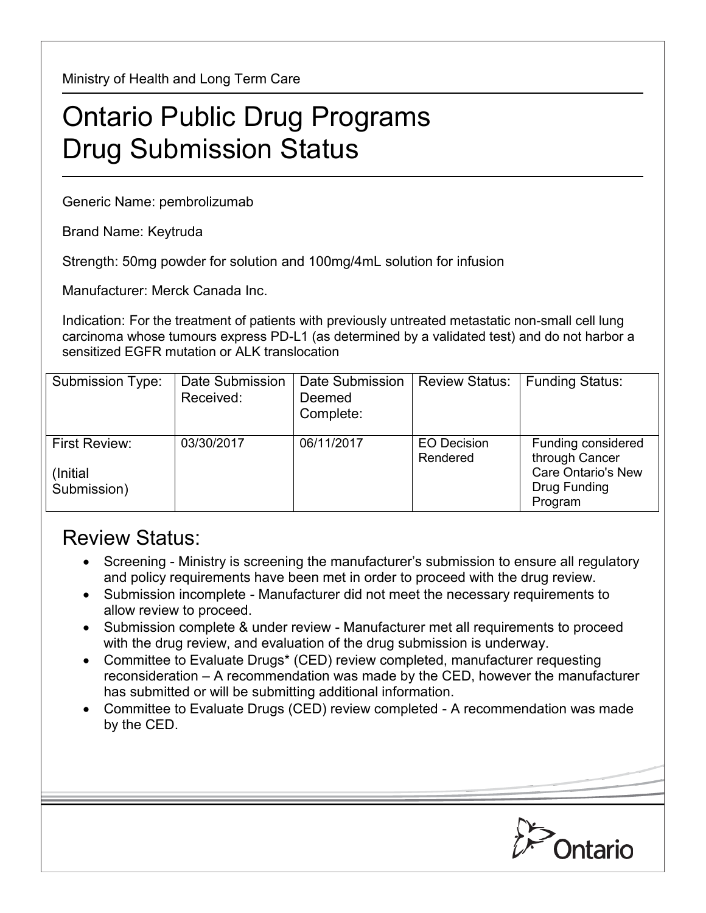Ministry of Health and Long Term Care

## Ontario Public Drug Programs Drug Submission Status

Generic Name: pembrolizumab

Brand Name: Keytruda

Strength: 50mg powder for solution and 100mg/4mL solution for infusion

Manufacturer: Merck Canada Inc.

Indication: For the treatment of patients with previously untreated metastatic non-small cell lung carcinoma whose tumours express PD-L1 (as determined by a validated test) and do not harbor a sensitized EGFR mutation or ALK translocation

| Submission Type:                          | Date Submission<br>Received: | Date Submission<br>Deemed<br>Complete: | <b>Review Status:</b>          | <b>Funding Status:</b>                                                                       |
|-------------------------------------------|------------------------------|----------------------------------------|--------------------------------|----------------------------------------------------------------------------------------------|
| First Review:<br>(Initial)<br>Submission) | 03/30/2017                   | 06/11/2017                             | <b>EO Decision</b><br>Rendered | Funding considered<br>through Cancer<br><b>Care Ontario's New</b><br>Drug Funding<br>Program |

## Review Status:

- Screening Ministry is screening the manufacturer's submission to ensure all regulatory and policy requirements have been met in order to proceed with the drug review.
- Submission incomplete Manufacturer did not meet the necessary requirements to allow review to proceed.
- Submission complete & under review Manufacturer met all requirements to proceed with the drug review, and evaluation of the drug submission is underway.
- Committee to Evaluate Drugs\* (CED) review completed, manufacturer requesting reconsideration – A recommendation was made by the CED, however the manufacturer has submitted or will be submitting additional information.
- Committee to Evaluate Drugs (CED) review completed A recommendation was made by the CED.